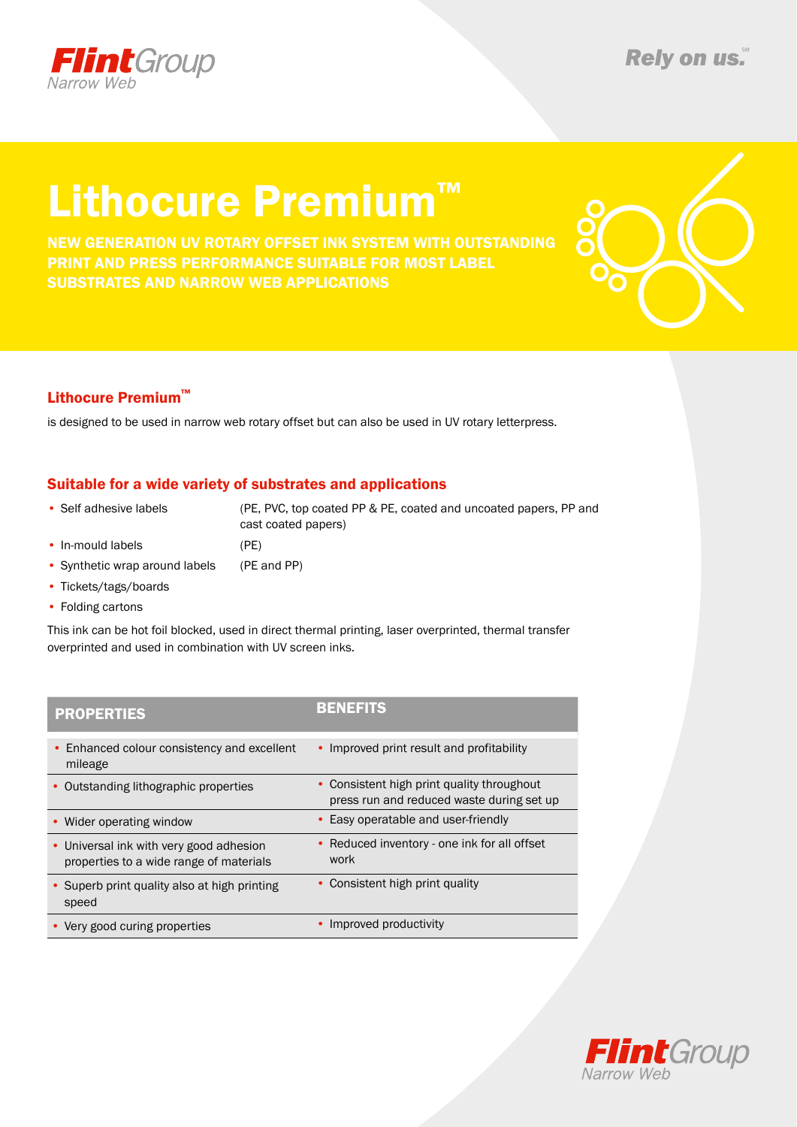

# Lithocure Premium™

New generation uv rotary offset ink system with Outstanding print and press performance suitable for most label substrates and narrow web applications



### Lithocure Premium™

is designed to be used in narrow web rotary offset but can also be used in UV rotary letterpress.

### Suitable for a wide variety of substrates and applications

- Self adhesive labels (PE, PVC, top coated PP & PE, coated and uncoated papers, PP and cast coated papers)
- In-mould labels (PE)
- Synthetic wrap around labels (PE and PP)
- Tickets/tags/boards
- Folding cartons

This ink can be hot foil blocked, used in direct thermal printing, laser overprinted, thermal transfer overprinted and used in combination with UV screen inks.

| <b>PROPERTIES</b>                                                                  | <b>BENEFITS</b>                                                                         |
|------------------------------------------------------------------------------------|-----------------------------------------------------------------------------------------|
| • Enhanced colour consistency and excellent<br>mileage                             | • Improved print result and profitability                                               |
| • Outstanding lithographic properties                                              | • Consistent high print quality throughout<br>press run and reduced waste during set up |
| • Wider operating window                                                           | • Easy operatable and user-friendly                                                     |
| • Universal ink with very good adhesion<br>properties to a wide range of materials | • Reduced inventory - one ink for all offset<br>work                                    |
| • Superb print quality also at high printing<br>speed                              | • Consistent high print quality                                                         |
| • Very good curing properties                                                      | Improved productivity                                                                   |
|                                                                                    |                                                                                         |